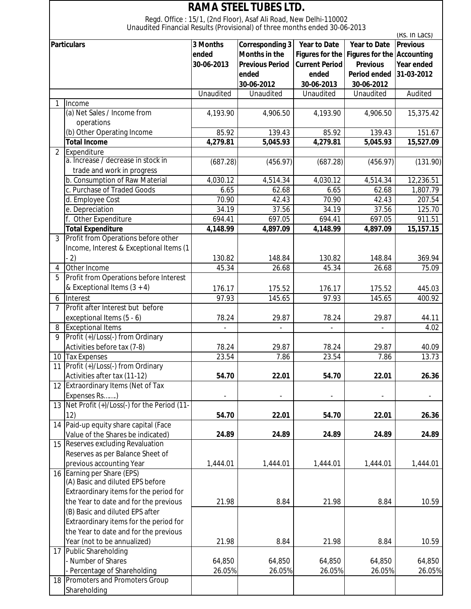| <b>RAMA STEEL TUBES LTD.</b> |                                                                            |            |                                                                  |                        |                                   |                 |  |  |  |  |
|------------------------------|----------------------------------------------------------------------------|------------|------------------------------------------------------------------|------------------------|-----------------------------------|-----------------|--|--|--|--|
|                              | Unaudited Financial Results (Provisional) of three months ended 30-06-2013 |            | Regd. Office: 15/1, (2nd Floor), Asaf Ali Road, New Delhi-110002 |                        |                                   |                 |  |  |  |  |
|                              |                                                                            |            |                                                                  |                        |                                   | (RS. In Lacs)   |  |  |  |  |
|                              | <b>Particulars</b>                                                         | 3 Months   | <b>Corresponding 3</b>                                           | <b>Year to Date</b>    | <b>Year to Date</b>               | <b>Previous</b> |  |  |  |  |
|                              |                                                                            | ended      | <b>Months in the</b>                                             | <b>Figures for the</b> | <b>Figures for the Accounting</b> |                 |  |  |  |  |
|                              |                                                                            | 30-06-2013 | <b>Previous Period</b>                                           | <b>Current Period</b>  | <b>Previous</b>                   | Year ended      |  |  |  |  |
|                              |                                                                            |            | ended                                                            | ended                  | <b>Period ended</b>               | 31-03-2012      |  |  |  |  |
|                              |                                                                            |            | 30-06-2012                                                       | 30-06-2013             | 30-06-2012                        |                 |  |  |  |  |
|                              |                                                                            | Unaudited  | Unaudited                                                        | Unaudited              | Unaudited                         | Audited         |  |  |  |  |
|                              | Income                                                                     |            |                                                                  |                        |                                   |                 |  |  |  |  |
|                              | (a) Net Sales / Income from                                                | 4,193.90   | 4,906.50                                                         | 4,193.90               | 4,906.50                          | 15,375.42       |  |  |  |  |
|                              | operations                                                                 |            |                                                                  |                        |                                   |                 |  |  |  |  |
|                              | (b) Other Operating Income                                                 | 85.92      | 139.43                                                           | 85.92                  | 139.43                            | 151.67          |  |  |  |  |
|                              | <b>Total Income</b>                                                        | 4,279.81   | 5,045.93                                                         | 4,279.81               | 5,045.93                          | 15,527.09       |  |  |  |  |
| $\overline{2}$               | Expenditure                                                                |            |                                                                  |                        |                                   |                 |  |  |  |  |
|                              | a. Increase / decrease in stock in                                         | (687.28)   | (456.97)                                                         | (687.28)               | (456.97)                          | (131.90)        |  |  |  |  |
|                              | trade and work in progress                                                 |            |                                                                  |                        |                                   |                 |  |  |  |  |
|                              | b. Consumption of Raw Material                                             | 4,030.12   | 4,514.34                                                         | 4,030.12               | 4,514.34                          | 12,236.51       |  |  |  |  |
|                              | c. Purchase of Traded Goods                                                | 6.65       | 62.68                                                            | 6.65                   | 62.68                             | 1,807.79        |  |  |  |  |
|                              | d. Employee Cost                                                           | 70.90      | 42.43                                                            | 70.90                  | 42.43                             | 207.54          |  |  |  |  |
|                              | e. Depreciation                                                            | 34.19      | 37.56                                                            | 34.19                  | 37.56                             | 125.70          |  |  |  |  |
|                              | f. Other Expenditure                                                       | 694.41     | 697.05                                                           | 694.41                 | 697.05                            | 911.51          |  |  |  |  |
|                              | <b>Total Expenditure</b>                                                   | 4,148.99   | 4,897.09                                                         | 4,148.99               | 4,897.09                          | 15,157.15       |  |  |  |  |
| 3                            | Profit from Operations before other                                        |            |                                                                  |                        |                                   |                 |  |  |  |  |
|                              | Income, Interest & Exceptional Items (1                                    |            |                                                                  |                        |                                   |                 |  |  |  |  |
|                              | $-2)$                                                                      | 130.82     | 148.84                                                           | 130.82                 | 148.84                            | 369.94          |  |  |  |  |
| 4                            | Other Income                                                               | 45.34      | 26.68                                                            | 45.34                  | 26.68                             | 75.09           |  |  |  |  |
| 5                            | Profit from Operations before Interest                                     |            |                                                                  |                        |                                   |                 |  |  |  |  |
|                              | & Exceptional Items $(3 + 4)$                                              | 176.17     | 175.52                                                           | 176.17                 | 175.52                            | 445.03          |  |  |  |  |
| 6                            | Interest                                                                   | 97.93      | 145.65                                                           | 97.93                  | 145.65                            | 400.92          |  |  |  |  |
| 7                            | Profit after Interest but before                                           |            |                                                                  |                        |                                   |                 |  |  |  |  |
|                              | exceptional Items (5 - 6)                                                  | 78.24      | 29.87                                                            | 78.24                  | 29.87                             | 44.11           |  |  |  |  |
| 8                            | <b>Exceptional Items</b>                                                   |            |                                                                  |                        |                                   | 4.02            |  |  |  |  |
| 9                            | Profit (+)/Loss(-) from Ordinary                                           |            |                                                                  |                        |                                   |                 |  |  |  |  |
|                              | Activities before tax (7-8)                                                | 78.24      | 29.87                                                            | 78.24                  | 29.87                             | 40.09           |  |  |  |  |
| 10                           | <b>Tax Expenses</b>                                                        | 23.54      | 7.86                                                             | 23.54                  | 7.86                              | 13.73           |  |  |  |  |
| 11                           | Profit (+)/Loss(-) from Ordinary                                           |            |                                                                  |                        |                                   |                 |  |  |  |  |
|                              | Activities after tax (11-12)                                               | 54.70      | 22.01                                                            | 54.70                  | 22.01                             | 26.36           |  |  |  |  |
|                              | 12 Extraordinary Items (Net of Tax                                         |            |                                                                  |                        |                                   |                 |  |  |  |  |
|                              | Expenses Rs)                                                               |            | $\overline{a}$                                                   |                        |                                   |                 |  |  |  |  |
|                              | 13 Net Profit (+)/Loss(-) for the Period (11-                              |            |                                                                  |                        |                                   |                 |  |  |  |  |
|                              | 12)                                                                        | 54.70      | 22.01                                                            | 54.70                  | 22.01                             | 26.36           |  |  |  |  |
|                              | 14 Paid-up equity share capital (Face                                      |            |                                                                  |                        |                                   |                 |  |  |  |  |
|                              | Value of the Shares be indicated)                                          | 24.89      | 24.89                                                            | 24.89                  | 24.89                             | 24.89           |  |  |  |  |
|                              | 15 Reserves excluding Revaluation                                          |            |                                                                  |                        |                                   |                 |  |  |  |  |
|                              | Reserves as per Balance Sheet of                                           |            |                                                                  |                        |                                   |                 |  |  |  |  |
|                              | previous accounting Year                                                   | 1,444.01   | 1,444.01                                                         | 1,444.01               | 1,444.01                          | 1,444.01        |  |  |  |  |
|                              | 16 Earning per Share (EPS)                                                 |            |                                                                  |                        |                                   |                 |  |  |  |  |
|                              | (A) Basic and diluted EPS before                                           |            |                                                                  |                        |                                   |                 |  |  |  |  |
|                              | Extraordinary items for the period for                                     |            |                                                                  |                        |                                   |                 |  |  |  |  |
|                              | the Year to date and for the previous                                      | 21.98      | 8.84                                                             | 21.98                  | 8.84                              | 10.59           |  |  |  |  |
|                              | (B) Basic and diluted EPS after                                            |            |                                                                  |                        |                                   |                 |  |  |  |  |
|                              | Extraordinary items for the period for                                     |            |                                                                  |                        |                                   |                 |  |  |  |  |
|                              | the Year to date and for the previous                                      |            |                                                                  |                        |                                   |                 |  |  |  |  |
|                              | Year (not to be annualized)                                                | 21.98      | 8.84                                                             | 21.98                  | 8.84                              | 10.59           |  |  |  |  |
| 17                           | Public Shareholding                                                        |            |                                                                  |                        |                                   |                 |  |  |  |  |
|                              | - Number of Shares                                                         | 64,850     | 64,850                                                           | 64,850                 | 64,850                            | 64,850          |  |  |  |  |
|                              | Percentage of Shareholding                                                 | 26.05%     | 26.05%                                                           | 26.05%                 | 26.05%                            | 26.05%          |  |  |  |  |
|                              | 18 Promoters and Promoters Group                                           |            |                                                                  |                        |                                   |                 |  |  |  |  |
|                              | Shareholding                                                               |            |                                                                  |                        |                                   |                 |  |  |  |  |